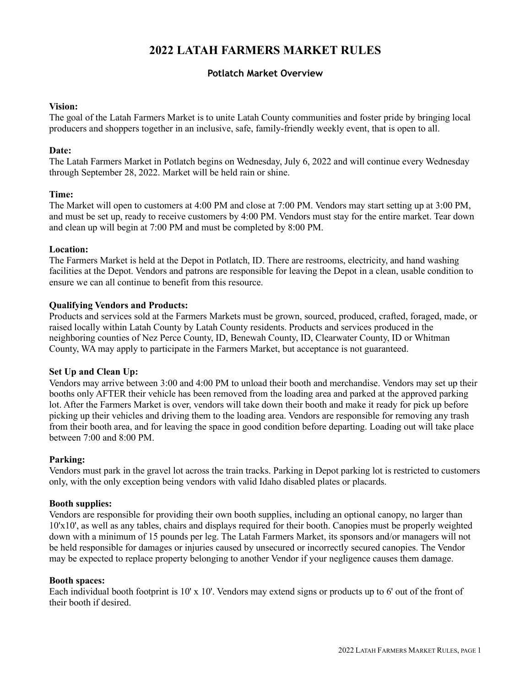# **2022 LATAH FARMERS MARKET RULES**

# **Potlatch Market Overview**

#### **Vision:**

The goal of the Latah Farmers Market is to unite Latah County communities and foster pride by bringing local producers and shoppers together in an inclusive, safe, family-friendly weekly event, that is open to all.

#### **Date:**

The Latah Farmers Market in Potlatch begins on Wednesday, July 6, 2022 and will continue every Wednesday through September 28, 2022. Market will be held rain or shine.

#### **Time:**

The Market will open to customers at 4:00 PM and close at 7:00 PM. Vendors may start setting up at 3:00 PM, and must be set up, ready to receive customers by 4:00 PM. Vendors must stay for the entire market. Tear down and clean up will begin at 7:00 PM and must be completed by 8:00 PM.

#### **Location:**

The Farmers Market is held at the Depot in Potlatch, ID. There are restrooms, electricity, and hand washing facilities at the Depot. Vendors and patrons are responsible for leaving the Depot in a clean, usable condition to ensure we can all continue to benefit from this resource.

# **Qualifying Vendors and Products:**

Products and services sold at the Farmers Markets must be grown, sourced, produced, crafted, foraged, made, or raised locally within Latah County by Latah County residents. Products and services produced in the neighboring counties of Nez Perce County, ID, Benewah County, ID, Clearwater County, ID or Whitman County, WA may apply to participate in the Farmers Market, but acceptance is not guaranteed.

# **Set Up and Clean Up:**

Vendors may arrive between 3:00 and 4:00 PM to unload their booth and merchandise. Vendors may set up their booths only AFTER their vehicle has been removed from the loading area and parked at the approved parking lot. After the Farmers Market is over, vendors will take down their booth and make it ready for pick up before picking up their vehicles and driving them to the loading area. Vendors are responsible for removing any trash from their booth area, and for leaving the space in good condition before departing. Loading out will take place between 7:00 and 8:00 PM.

#### **Parking:**

Vendors must park in the gravel lot across the train tracks. Parking in Depot parking lot is restricted to customers only, with the only exception being vendors with valid Idaho disabled plates or placards.

#### **Booth supplies:**

Vendors are responsible for providing their own booth supplies, including an optional canopy, no larger than 10'x10', as well as any tables, chairs and displays required for their booth. Canopies must be properly weighted down with a minimum of 15 pounds per leg. The Latah Farmers Market, its sponsors and/or managers will not be held responsible for damages or injuries caused by unsecured or incorrectly secured canopies. The Vendor may be expected to replace property belonging to another Vendor if your negligence causes them damage.

#### **Booth spaces:**

Each individual booth footprint is 10' x 10'. Vendors may extend signs or products up to 6' out of the front of their booth if desired.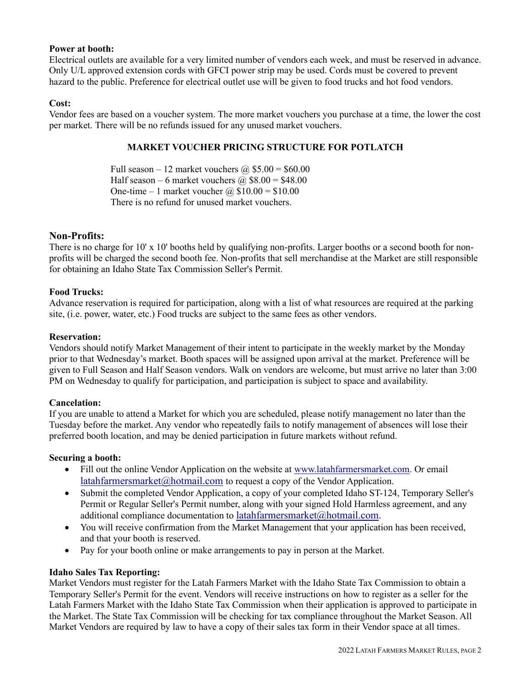#### **Power at booth:**

Electrical outlets are available for a very limited number of vendors each week, and must be reserved in advance. Only U/L approved extension cords with GFCI power strip may be used. Cords must be covered to prevent hazard to the public. Preference for electrical outlet use will be given to food trucks and hot food vendors.

#### **Cost:**

Vendor fees are based on a voucher system. The more market vouchers you purchase at a time, the lower the cost per market. There will be no refunds issued for any unused market vouchers.

#### **MARKET VOUCHER PRICING STRUCTURE FOR POTLATCH**

Full season – 12 market vouchers  $\omega$  \$5.00 = \$60.00 Half season – 6 market vouchers  $\omega$ , \$8.00 = \$48.00 One-time – 1 market voucher  $\omega$  \$10.00 = \$10.00 There is no refund for unused market vouchers.

# **Non-Profits:**

There is no charge for 10' x 10' booths held by qualifying non-profits. Larger booths or a second booth for nonprofits will be charged the second booth fee. Non-profits that sell merchandise at the Market are still responsible for obtaining an Idaho State Tax Commission Seller's Permit.

# **Food Trucks:**

Advance reservation is required for participation, along with a list of what resources are required at the parking site, (i.e. power, water, etc.) Food trucks are subject to the same fees as other vendors.

#### **Reservation:**

Vendors should notify Market Management of their intent to participate in the weekly market by the Monday prior to that Wednesday's market. Booth spaces will be assigned upon arrival at the market. Preference will be given to Full Season and Half Season vendors. Walk on vendors are welcome, but must arrive no later than 3:00 PM on Wednesday to qualify for participation, and participation is subject to space and availability.

#### **Cancelation:**

If you are unable to attend a Market for which you are scheduled, please notify management no later than the Tuesday before the market. Any vendor who repeatedly fails to notify management of absences will lose their preferred booth location, and may be denied participation in future markets without refund.

#### **Securing a booth:**

- Fill out the online Vendor Application on the website at [www.latahfarmersmarket.com.](http://www.latahfarmersmarket.com/) Or email [latahfarmersmarket@hotmail.com](mailto:latahfarmersmarket@hotmail.com) to request a copy of the Vendor Application.
- Submit the completed Vendor Application, a copy of your completed Idaho ST-124, Temporary Seller's Permit or Regular Seller's Permit number, along with your signed Hold Harmless agreement, and any additional compliance documentation to [latahfarmersmarket@hotmail.com.](mailto:latahfarmersmarket@hotmail.com)
- You will receive confirmation from the Market Management that your application has been received, and that your booth is reserved.
- Pay for your booth online or make arrangements to pay in person at the Market.

#### **Idaho Sales Tax Reporting:**

Market Vendors must register for the Latah Farmers Market with the Idaho State Tax Commission to obtain a Temporary Seller's Permit for the event. Vendors will receive instructions on how to register as a seller for the Latah Farmers Market with the Idaho State Tax Commission when their application is approved to participate in the Market. The State Tax Commission will be checking for tax compliance throughout the Market Season. All Market Vendors are required by law to have a copy of their sales tax form in their Vendor space at all times.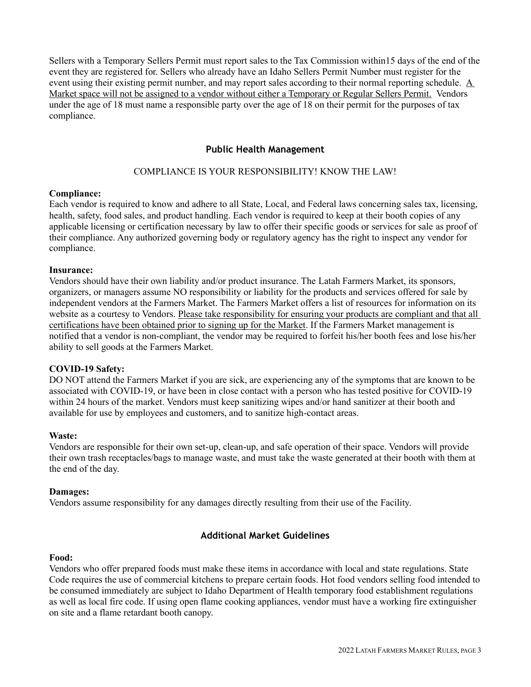Sellers with a Temporary Sellers Permit must report sales to the Tax Commission within15 days of the end of the event they are registered for. Sellers who already have an Idaho Sellers Permit Number must register for the event using their existing permit number, and may report sales according to their normal reporting schedule.  $\underline{A}$ Market space will not be assigned to a vendor without either a Temporary or Regular Sellers Permit. Vendors under the age of 18 must name a responsible party over the age of 18 on their permit for the purposes of tax compliance.

# **Public Health Management**

# COMPLIANCE IS YOUR RESPONSIBILITY! KNOW THE LAW!

# **Compliance:**

Each vendor is required to know and adhere to all State, Local, and Federal laws concerning sales tax, licensing, health, safety, food sales, and product handling. Each vendor is required to keep at their booth copies of any applicable licensing or certification necessary by law to offer their specific goods or services for sale as proof of their compliance. Any authorized governing body or regulatory agency has the right to inspect any vendor for compliance.

# **Insurance:**

Vendors should have their own liability and/or product insurance. The Latah Farmers Market, its sponsors, organizers, or managers assume NO responsibility or liability for the products and services offered for sale by independent vendors at the Farmers Market. The Farmers Market offers a list of resources for information on its website as a courtesy to Vendors. Please take responsibility for ensuring your products are compliant and that all certifications have been obtained prior to signing up for the Market. If the Farmers Market management is notified that a vendor is non-compliant, the vendor may be required to forfeit his/her booth fees and lose his/her ability to sell goods at the Farmers Market.

# **COVID-19 Safety:**

DO NOT attend the Farmers Market if you are sick, are experiencing any of the symptoms that are known to be associated with COVID-19, or have been in close contact with a person who has tested positive for COVID-19 within 24 hours of the market. Vendors must keep sanitizing wipes and/or hand sanitizer at their booth and available for use by employees and customers, and to sanitize high-contact areas.

# **Waste:**

Vendors are responsible for their own set-up, clean-up, and safe operation of their space. Vendors will provide their own trash receptacles/bags to manage waste, and must take the waste generated at their booth with them at the end of the day.

# **Damages:**

Vendors assume responsibility for any damages directly resulting from their use of the Facility.

# **Additional Market Guidelines**

# **Food:**

Vendors who offer prepared foods must make these items in accordance with local and state regulations. State Code requires the use of commercial kitchens to prepare certain foods. Hot food vendors selling food intended to be consumed immediately are subject to Idaho Department of Health temporary food establishment regulations as well as local fire code. If using open flame cooking appliances, vendor must have a working fire extinguisher on site and a flame retardant booth canopy.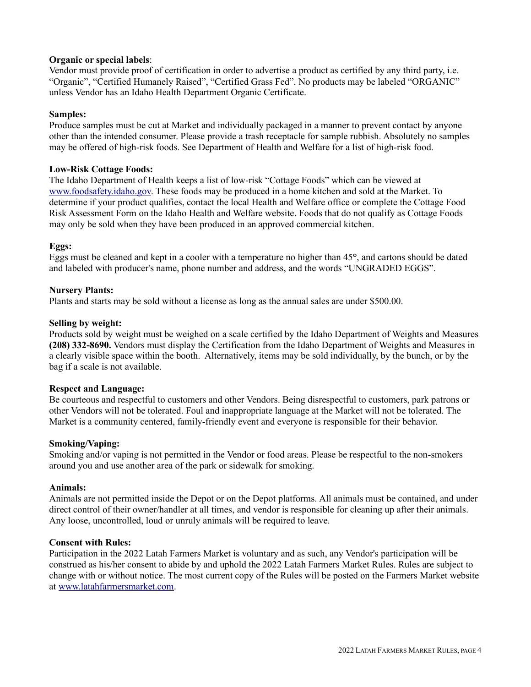# **Organic or special labels**:

Vendor must provide proof of certification in order to advertise a product as certified by any third party, i.e. "Organic", "Certified Humanely Raised", "Certified Grass Fed". No products may be labeled "ORGANIC" unless Vendor has an Idaho Health Department Organic Certificate.

# **Samples:**

Produce samples must be cut at Market and individually packaged in a manner to prevent contact by anyone other than the intended consumer. Please provide a trash receptacle for sample rubbish. Absolutely no samples may be offered of high-risk foods. See Department of Health and Welfare for a list of high-risk food.

# **Low-Risk Cottage Foods:**

The Idaho Department of Health keeps a list of low-risk "Cottage Foods" which can be viewed at [www.foodsafety.idaho.gov.](http://www.foodsafety.idaho.gov/) These foods may be produced in a home kitchen and sold at the Market. To determine if your product qualifies, contact the local Health and Welfare office or complete the Cottage Food Risk Assessment Form on the Idaho Health and Welfare website. Foods that do not qualify as Cottage Foods may only be sold when they have been produced in an approved commercial kitchen.

# **Eggs:**

Eggs must be cleaned and kept in a cooler with a temperature no higher than 45**°**, and cartons should be dated and labeled with producer's name, phone number and address, and the words "UNGRADED EGGS".

# **Nursery Plants:**

Plants and starts may be sold without a license as long as the annual sales are under \$500.00.

# **Selling by weight:**

Products sold by weight must be weighed on a scale certified by the Idaho Department of Weights and Measures **(208) 332-8690.** Vendors must display the Certification from the Idaho Department of Weights and Measures in a clearly visible space within the booth. Alternatively, items may be sold individually, by the bunch, or by the bag if a scale is not available.

# **Respect and Language:**

Be courteous and respectful to customers and other Vendors. Being disrespectful to customers, park patrons or other Vendors will not be tolerated. Foul and inappropriate language at the Market will not be tolerated. The Market is a community centered, family-friendly event and everyone is responsible for their behavior.

# **Smoking/Vaping:**

Smoking and/or vaping is not permitted in the Vendor or food areas. Please be respectful to the non-smokers around you and use another area of the park or sidewalk for smoking.

# **Animals:**

Animals are not permitted inside the Depot or on the Depot platforms. All animals must be contained, and under direct control of their owner/handler at all times, and vendor is responsible for cleaning up after their animals. Any loose, uncontrolled, loud or unruly animals will be required to leave.

# **Consent with Rules:**

Participation in the 2022 Latah Farmers Market is voluntary and as such, any Vendor's participation will be construed as his/her consent to abide by and uphold the 2022 Latah Farmers Market Rules. Rules are subject to change with or without notice. The most current copy of the Rules will be posted on the Farmers Market website at [www.latahfarmersmarket.com.](http://www.latahfarmersmarket.com/)